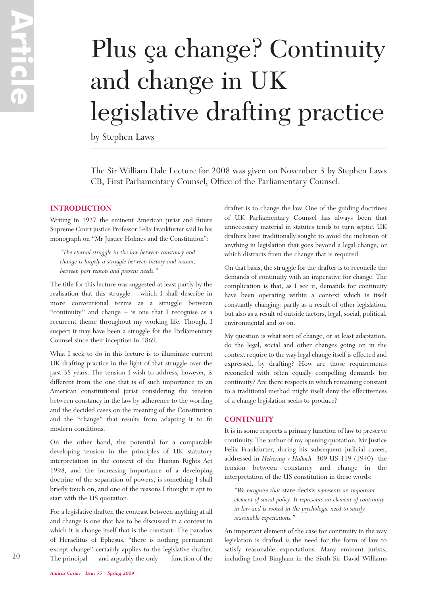# Plus ça change? Continuity and change in UK legislative drafting practice

by Stephen Laws

The Sir William Dale Lecture for 2008 was given on November 3 by Stephen Laws CB, First Parliamentary Counsel, Office of the Parliamentary Counsel.

## **INTRODUCTION**

Writing in 1927 the eminent American jurist and future Supreme Court justice Professor Felix Frankfurter said in his monograph on "Mr Justice Holmes and the Constitution":

*"The eternal struggle in the law between constancy and change is largely a struggle between history and reason, between past reason and present needs."*

The title for this lecture was suggested at least partly by the realisation that this struggle – which I shall describe in more conventional terms as a struggle between "continuity" and change – is one that I recognise as a recurrent theme throughout my working life. Though, I suspect it may have been a struggle for the Parliamentary Counsel since their inception in 1869.

What I seek to do in this lecture is to illuminate current UK drafting practice in the light of that struggle over the past 35 years. The tension I wish to address, however, is different from the one that is of such importance to an American constitutional jurist considering the tension between constancy in the law by adherence to the wording and the decided cases on the meaning of the Constitution and the "change" that results from adapting it to fit modern conditions.

On the other hand, the potential for a comparable developing tension in the principles of UK statutory interpretation in the context of the Human Rights Act 1998, and the increasing importance of a developing doctrine of the separation of powers, is something I shall briefly touch on, and one of the reasons I thought it apt to start with the US quotation.

For a legislative drafter, the contrast between anything at all and change is one that has to be discussed in a context in which it is change itself that is the constant. The paradox of Heraclitus of Ephesus, "there is nothing permanent except change" certainly applies to the legislative drafter. The principal — and arguably the only — function of the

drafter is to change the law. One of the guiding doctrines of UK Parliamentary Counsel has always been that unnecessary material in statutes tends to turn septic. UK drafters have traditionally sought to avoid the inclusion of anything in legislation that goes beyond a legal change, or which distracts from the change that is required.

On that basis, the struggle for the drafter is to reconcile the demands of continuity with an imperative for change. The complication is that, as I see it, demands for continuity have been operating within a context which is itself constantly changing: partly as a result of other legislation, but also as a result of outside factors, legal, social, political, environmental and so on.

My question is what sort of change, or at least adaptation, do the legal, social and other changes going on in the context require to the way legal change itself is effected and expressed, by drafting? How are those requirements reconciled with often equally compelling demands for continuity? Are there respects in which remaining constant to a traditional method might itself deny the effectiveness of a change legislation seeks to produce?

#### **CONTINUITY**

It is in some respects a primary function of law to preserve continuity. The author of my opening quotation, Mr Justice Felix Frankfurter, during his subsequent judicial career, addressed in *Helvering v Halloch* 309 US 119 (1940) the tension between constancy and change in the interpretation of the US constitution in these words:

*"We recognise that* stare decisis *represents an important element of social policy. It represents an element of continuity in law and is rooted in the psychologic need to satisfy reasonable expectations."*

An important element of the case for continuity in the way legislation is drafted is the need for the form of law to satisfy reasonable expectations. Many eminent jurists, including Lord Bingham in the Sixth Sir David Williams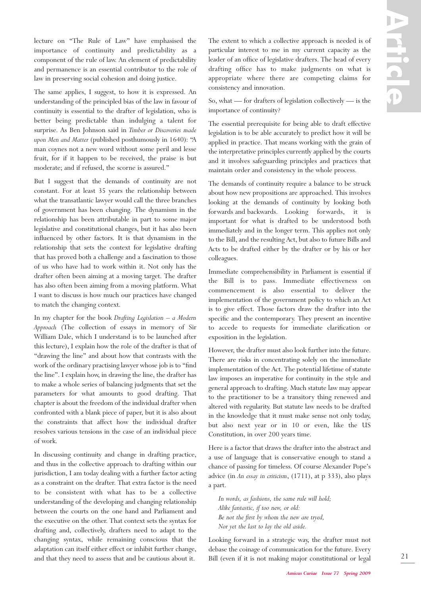lecture on "The Rule of Law" have emphasised the importance of continuity and predictability as a component of the rule of law. An element of predictability and permanence is an essential contributor to the role of law in preserving social cohesion and doing justice.

The same applies, I suggest, to how it is expressed. An understanding of the principled bias of the law in favour of continuity is essential to the drafter of legislation, who is better being predictable than indulging a talent for surprise. As Ben Johnson said in *Timber or Discoveries made upon Men and Matter* (published posthumously in 1640): "A man coynes not a new word without some peril and lesse fruit, for if it happen to be received, the praise is but moderate; and if refused, the scorne is assured."

But I suggest that the demands of continuity are not constant. For at least 35 years the relationship between what the transatlantic lawyer would call the three branches of government has been changing. The dynamism in the relationship has been attributable in part to some major legislative and constitutional changes, but it has also been influenced by other factors. It is that dynamism in the relationship that sets the context for legislative drafting that has proved both a challenge and a fascination to those of us who have had to work within it. Not only has the drafter often been aiming at a moving target. The drafter has also often been aiming from a moving platform. What I want to discuss is how much our practices have changed to match the changing context.

In my chapter for the book *Drafting Legislation – a Modern Approach* (The collection of essays in memory of Sir William Dale, which I understand is to be launched after this lecture), I explain how the role of the drafter is that of "drawing the line" and about how that contrasts with the work of the ordinary practising lawyer whose job is to "find the line". I explain how, in drawing the line, the drafter has to make a whole series of balancing judgments that set the parameters for what amounts to good drafting. That chapter is about the freedom of the individual drafter when confronted with a blank piece of paper, but it is also about the constraints that affect how the individual drafter resolves various tensions in the case of an individual piece of work.

In discussing continuity and change in drafting practice, and thus in the collective approach to drafting within our jurisdiction, I am today dealing with a further factor acting as a constraint on the drafter. That extra factor is the need to be consistent with what has to be a collective understanding of the developing and changing relationship between the courts on the one hand and Parliament and the executive on the other. That context sets the syntax for drafting and, collectively, drafters need to adapt to the changing syntax, while remaining conscious that the adaptation can itself either effect or inhibit further change, and that they need to assess that and be cautious about it.

The extent to which a collective approach is needed is of particular interest to me in my current capacity as the leader of an office of legislative drafters. The head of every drafting office has to make judgments on what is appropriate where there are competing claims for consistency and innovation.

So, what — for drafters of legislation collectively — is the importance of continuity?

The essential prerequisite for being able to draft effective legislation is to be able accurately to predict how it will be applied in practice. That means working with the grain of the interpretative principles currently applied by the courts and it involves safeguarding principles and practices that maintain order and consistency in the whole process.

The demands of continuity require a balance to be struck about how new propositions are approached. This involves looking at the demands of continuity by looking both forwards and backwards. Looking forwards, it is important for what is drafted to be understood both immediately and in the longer term. This applies not only to the Bill, and the resulting Act, but also to future Bills and Acts to be drafted either by the drafter or by his or her colleagues.

Immediate comprehensibility in Parliament is essential if the Bill is to pass. Immediate effectiveness on commencement is also essential to deliver the implementation of the government policy to which an Act is to give effect. Those factors draw the drafter into the specific and the contemporary. They present an incentive to accede to requests for immediate clarification or exposition in the legislation.

However, the drafter must also look further into the future. There are risks in concentrating solely on the immediate implementation of the Act. The potential lifetime of statute law imposes an imperative for continuity in the style and general approach to drafting. Much statute law may appear to the practitioner to be a transitory thing renewed and altered with regularity. But statute law needs to be drafted in the knowledge that it must make sense not only today, but also next year or in 10 or even, like the US Constitution, in over 200 years time.

Here is a factor that draws the drafter into the abstract and a use of language that is conservative enough to stand a chance of passing for timeless. Of course Alexander Pope's advice (in *An essay in criticism*, (1711), at p 333), also plays a part.

*In words, as fashions, the same rule will hold; Alike fantastic, if too new, or old: Be not the first by whom the new are tryed, Nor yet the last to lay the old aside.*

Looking forward in a strategic way, the drafter must not debase the coinage of communication for the future. Every Bill (even if it is not making major constitutional or legal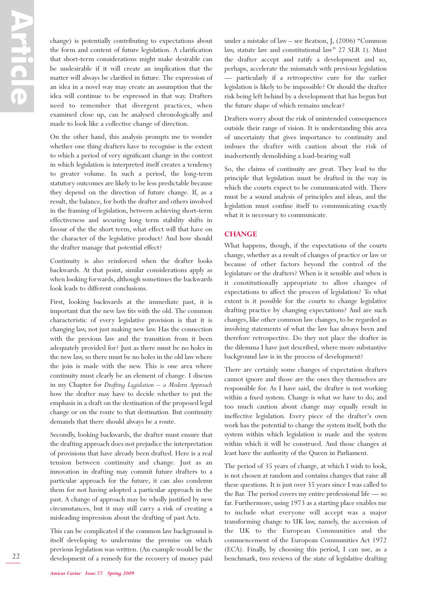change) is potentially contributing to expectations about the form and content of future legislation. A clarification that short-term considerations might make desirable can be undesirable if it will create an implication that the matter will always be clarified in future. The expression of an idea in a novel way may create an assumption that the idea will continue to be expressed in that way. Drafters need to remember that divergent practices, when examined close up, can be analysed chronologically and made to look like a collective change of direction.

On the other hand, this analysis prompts me to wonder whether one thing drafters have to recognise is the extent to which a period of very significant change in the context in which legislation is interpreted itself creates a tendency to greater volume. In such a period, the long-term statutory outcomes are likely to be less predictable because they depend on the direction of future change. If, as a result, the balance, for both the drafter and others involved in the framing of legislation, between achieving short-term effectiveness and securing long term stability shifts in favour of the the short term, what effect will that have on the character of the legislative product? And how should the drafter manage that potential effect?

Continuity is also reinforced when the drafter looks backwards. At that point, similar considerations apply as when looking forwards, although sometimes the backwards look leads to different conclusions.

First, looking backwards at the immediate past, it is important that the new law fits with the old. The common characteristic of every legislative provision is that it is changing law, not just making new law. Has the connection with the previous law and the transition from it been adequately provided for? Just as there must be no holes in the new law, so there must be no holes in the old law where the join is made with the new. This is one area where continuity must clearly be an element of change. I discuss in my Chapter for *Drafting Legislation – a Modern Approach* how the drafter may have to decide whether to put the emphasis in a draft on the destination of the proposed legal change or on the route to that destination. But continuity demands that there should always be a route.

Secondly, looking backwards, the drafter must ensure that the drafting approach does not prejudice the interpretation of provisions that have already been drafted. Here is a real tension between continuity and change. Just as an innovation in drafting may commit future drafters to a particular approach for the future, it can also condemn them for not having adopted a particular approach in the past. A change of approach may be wholly justified by new circumstances, but it may still carry a risk of creating a misleading impression about the drafting of past Acts.

This can be complicated if the common law background is itself developing to undermine the premise on which previous legislation was written. (An example would be the development of a remedy for the recovery of money paid under a mistake of law – see Beatson, J, (2006) "Common law, statute law and constitutional law" 27 SLR 1). Must the drafter accept and ratify a development and so, perhaps, accelerate the mismatch with previous legislation — particularly if a retrospective cure for the earlier legislation is likely to be impossible? Or should the drafter risk being left behind by a development that has begun but the future shape of which remains unclear?

Drafters worry about the risk of unintended consequences outside their range of vision. It is understanding this area of uncertainty that gives importance to continuity and imbues the drafter with caution about the risk of inadvertently demolishing a load-bearing wall

So, the claims of continuity are great. They lead to the principle that legislation must be drafted in the way in which the courts expect to be communicated with. There must be a sound analysis of principles and ideas, and the legislation must confine itself to communicating exactly what it is necessary to communicate.

## **CHANGE**

What happens, though, if the expectations of the courts change, whether as a result of changes of practice or law or because of other factors beyond the control of the legislature or the drafters? When is it sensible and when is it constitutionally appropriate to allow changes of expectations to affect the process of legislation? To what extent is it possible for the courts to change legislative drafting practice by changing expectations? And are such changes, like other common law changes, to be regarded as involving statements of what the law has always been and therefore retrospective. Do they not place the drafter in the dilemma I have just described, where more substantive background law is in the process of development?

There are certainly some changes of expectation drafters cannot ignore and those are the ones they themselves are responsible for. As I have said, the drafter is not working within a fixed system. Change is what we have to do; and too much caution about change may equally result in ineffective legislation. Every piece of the drafter's own work has the potential to change the system itself, both the system within which legislation is made and the system within which it will be construed. And those changes at least have the authority of the Queen in Parliament.

The period of 35 years of change, at which I wish to look, is not chosen at random and contains changes that raise all these questions. It is just over 35 years since I was called to the Bar. The period covers my entire professional life — so far. Furthermore, using 1973 as a starting place enables me to include what everyone will accept was a major transforming change to UK law, namely, the accession of the UK to the European Communities and the commencement of the European Communities Act 1972 (ECA). Finally, by choosing this period, I can use, as a benchmark, two reviews of the state of legislative drafting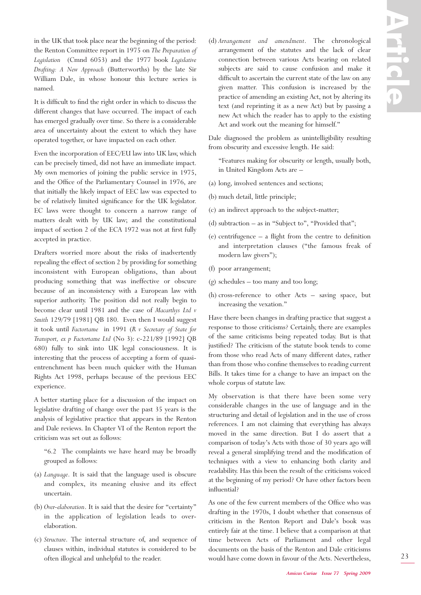in the UK that took place near the beginning of the period: the Renton Committee report in 1975 on *The Preparation of Legislation* (Cmnd 6053) and the 1977 book *Legislative Drafting: A New Approach* (Butterworths) by the late Sir William Dale, in whose honour this lecture series is named.

It is difficult to find the right order in which to discuss the different changes that have occurred. The impact of each has emerged gradually over time. So there is a considerable area of uncertainty about the extent to which they have operated together, or have impacted on each other.

Even the incorporation of EEC/EU law into UK law, which can be precisely timed, did not have an immediate impact. My own memories of joining the public service in 1975, and the Office of the Parliamentary Counsel in 1976, are that initially the likely impact of EEC law was expected to be of relatively limited significance for the UK legislator. EC laws were thought to concern a narrow range of matters dealt with by UK law; and the constitutional impact of section 2 of the ECA 1972 was not at first fully accepted in practice.

Drafters worried more about the risks of inadvertently repealing the effect of section 2 by providing for something inconsistent with European obligations, than about producing something that was ineffective or obscure because of an inconsistency with a European law with superior authority. The position did not really begin to become clear until 1981 and the case of *Macarthys Ltd v Smith* 129/79 [1981] QB 180. Even then I would suggest it took until *Factortame* in 1991 (*R v Secretary of State for Transport, ex p Factortame Ltd* (No 3): c-221/89 [1992] QB 680) fully to sink into UK legal consciousness. It is interesting that the process of accepting a form of quasientrenchment has been much quicker with the Human Rights Act 1998, perhaps because of the previous EEC experience.

A better starting place for a discussion of the impact on legislative drafting of change over the past 35 years is the analysis of legislative practice that appears in the Renton and Dale reviews. In Chapter VI of the Renton report the criticism was set out as follows:

"6.2 The complaints we have heard may be broadly grouped as follows:

- (a) *Language*. It is said that the language used is obscure and complex, its meaning elusive and its effect uncertain.
- (b) *Over-elaboration*. It is said that the desire for "certainty" in the application of legislation leads to overelaboration.
- (c) *Structure*. The internal structure of, and sequence of clauses within, individual statutes is considered to be often illogical and unhelpful to the reader.

(d) *Arrangement and amendment*. The chronological arrangement of the statutes and the lack of clear connection between various Acts bearing on related subjects are said to cause confusion and make it difficult to ascertain the current state of the law on any given matter. This confusion is increased by the practice of amending an existing Act, not by altering its text (and reprinting it as a new Act) but by passing a new Act which the reader has to apply to the existing Act and work out the meaning for himself."

Dale diagnosed the problem as unintelligibility resulting from obscurity and excessive length. He said:

"Features making for obscurity or length, usually both, in United Kingdom Acts are –

- (a) long, involved sentences and sections;
- (b) much detail, little principle;
- (c) an indirect approach to the subject-matter;
- (d) subtraction as in "Subject to", "Provided that";
- (e) centrifugence a flight from the centre to definition and interpretation clauses ("the famous freak of modern law givers");
- (f) poor arrangement;
- (g) schedules too many and too long;
- (h) cross-reference to other Acts saving space, but increasing the vexation."

Have there been changes in drafting practice that suggest a response to those criticisms? Certainly, there are examples of the same criticisms being repeated today. But is that justified? The criticism of the statute book tends to come from those who read Acts of many different dates, rather than from those who confine themselves to reading current Bills. It takes time for a change to have an impact on the whole corpus of statute law.

My observation is that there have been some very considerable changes in the use of language and in the structuring and detail of legislation and in the use of cross references. I am not claiming that everything has always moved in the same direction. But I do assert that a comparison of today's Acts with those of 30 years ago will reveal a general simplifying trend and the modification of techniques with a view to enhancing both clarity and readability. Has this been the result of the criticisms voiced at the beginning of my period? Or have other factors been influential?

As one of the few current members of the Office who was drafting in the 1970s, I doubt whether that consensus of criticism in the Renton Report and Dale's book was entirely fair at the time. I believe that a comparison at that time between Acts of Parliament and other legal documents on the basis of the Renton and Dale criticisms would have come down in favour of the Acts. Nevertheless,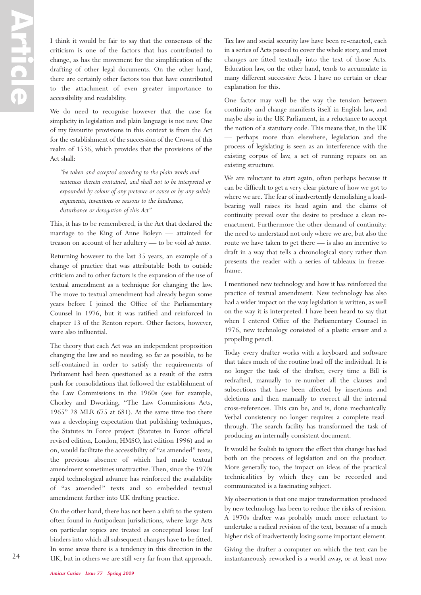I think it would be fair to say that the consensus of the criticism is one of the factors that has contributed to change, as has the movement for the simplification of the drafting of other legal documents. On the other hand, there are certainly other factors too that have contributed to the attachment of even greater importance to accessibility and readability.

We do need to recognise however that the case for simplicity in legislation and plain language is not new. One of my favourite provisions in this context is from the Act for the establishment of the succession of the Crown of this realm of 1536, which provides that the provisions of the Act shall:

*"be taken and accepted according to the plain words and sentences therein contained, and shall not to be interpreted or expounded by colour of any pretence or cause or by any subtle arguments, inventions or reasons to the hindrance, disturbance or derogation of this Act"*

This, it has to be remembered, is the Act that declared the marriage to the King of Anne Boleyn — attainted for treason on account of her adultery — to be void *ab initio*.

Returning however to the last 35 years, an example of a change of practice that was attributable both to outside criticism and to other factors is the expansion of the use of textual amendment as a technique for changing the law. The move to textual amendment had already begun some years before I joined the Office of the Parliamentary Counsel in 1976, but it was ratified and reinforced in chapter 13 of the Renton report. Other factors, however, were also influential.

The theory that each Act was an independent proposition changing the law and so needing, so far as possible, to be self-contained in order to satisfy the requirements of Parliament had been questioned as a result of the extra push for consolidations that followed the establishment of the Law Commissions in the 1960s (see for example, Chorley and Dworking, "The Law Commissions Acts, 1965" 28 MLR 675 at 681). At the same time too there was a developing expectation that publishing techniques, the Statutes in Force project (Statutes in Force: official revised edition, London, HMSO, last edition 1996) and so on, would facilitate the accessibility of "as amended" texts, the previous absence of which had made textual amendment sometimes unattractive. Then, since the 1970s rapid technological advance has reinforced the availability of "as amended" texts and so embedded textual amendment further into UK drafting practice.

On the other hand, there has not been a shift to the system often found in Antipodean jurisdictions, where large Acts on particular topics are treated as conceptual loose leaf binders into which all subsequent changes have to be fitted. In some areas there is a tendency in this direction in the UK, but in others we are still very far from that approach.

Tax law and social security law have been re-enacted, each in a series of Acts passed to cover the whole story, and most changes are fitted textually into the text of those Acts. Education law, on the other hand, tends to accumulate in many different successive Acts. I have no certain or clear explanation for this.

One factor may well be the way the tension between continuity and change manifests itself in English law, and maybe also in the UK Parliament, in a reluctance to accept the notion of a statutory code. This means that, in the UK — perhaps more than elsewhere, legislation and the process of legislating is seen as an interference with the existing corpus of law, a set of running repairs on an existing structure.

We are reluctant to start again, often perhaps because it can be difficult to get a very clear picture of how we got to where we are. The fear of inadvertently demolishing a loadbearing wall raises its head again and the claims of continuity prevail over the desire to produce a clean reenactment. Furthermore the other demand of continuity: the need to understand not only where we are, but also the route we have taken to get there — is also an incentive to draft in a way that tells a chronological story rather than presents the reader with a series of tableaux in freezeframe.

I mentioned new technology and how it has reinforced the practice of textual amendment. New technology has also had a wider impact on the way legislation is written, as well on the way it is interpreted. I have been heard to say that when I entered Office of the Parliamentary Counsel in 1976, new technology consisted of a plastic eraser and a propelling pencil.

Today every drafter works with a keyboard and software that takes much of the routine load off the individual. It is no longer the task of the drafter, every time a Bill is redrafted, manually to re-number all the clauses and subsections that have been affected by insertions and deletions and then manually to correct all the internal cross-references. This can be, and is, done mechanically. Verbal consistency no longer requires a complete readthrough. The search facility has transformed the task of producing an internally consistent document.

It would be foolish to ignore the effect this change has had both on the process of legislation and on the product. More generally too, the impact on ideas of the practical technicalities by which they can be recorded and communicated is a fascinating subject.

My observation is that one major transformation produced by new technology has been to reduce the risks of revision. A 1970s drafter was probably much more reluctant to undertake a radical revision of the text, because of a much higher risk of inadvertently losing some important element.

Giving the drafter a computer on which the text can be instantaneously reworked is a world away, or at least now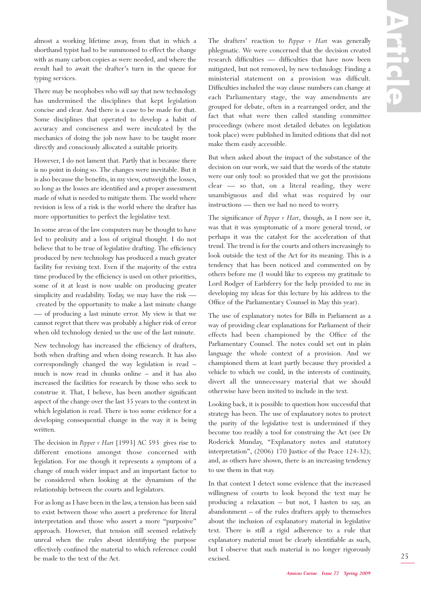almost a working lifetime away, from that in which a shorthand typist had to be summoned to effect the change with as many carbon copies as were needed, and where the result had to await the drafter's turn in the queue for typing services.

There may be neophobes who will say that new technology has undermined the disciplines that kept legislation concise and clear. And there is a case to be made for that. Some disciplines that operated to develop a habit of accuracy and conciseness and were inculcated by the mechanics of doing the job now have to be taught more directly and consciously allocated a suitable priority.

However, I do not lament that. Partly that is because there is no point in doing so. The changes were inevitable. But it is also because the benefits, in my view, outweigh the losses, so long as the losses are identified and a proper assessment made of what is needed to mitigate them. The world where revision is less of a risk is the world where the drafter has more opportunities to perfect the legislative text.

In some areas of the law computers may be thought to have led to prolixity and a loss of original thought. I do not believe that to be true of legislative drafting. The efficiency produced by new technology has produced a much greater facility for revising text. Even if the majority of the extra time produced by the efficiency is used on other priorities, some of it at least is now usable on producing greater simplicity and readability. Today, we may have the risk created by the opportunity to make a last minute change — of producing a last minute error. My view is that we cannot regret that there was probably a higher risk of error when old technology denied us the use of the last minute.

New technology has increased the efficiency of drafters, both when drafting and when doing research. It has also correspondingly changed the way legislation is read – much is now read in chunks online – and it has also increased the facilities for research by those who seek to construe it. That, I believe, has been another significant aspect of the change over the last 35 years to the context in which legislation is read. There is too some evidence for a developing consequential change in the way it is being written.

The decision in *Pepper v Hart* [1993] AC 593 gives rise to different emotions amongst those concerned with legislation. For me though it represents a symptom of a change of much wider impact and an important factor to be considered when looking at the dynamism of the relationship between the courts and legislators.

For as long as I have been in the law, a tension has been said to exist between those who assert a preference for literal interpretation and those who assert a more "purposive" approach. However, that tension still seemed relatively unreal when the rules about identifying the purpose effectively confined the material to which reference could be made to the text of the Act.

The drafters' reaction to *Pepper v Hart* was generally phlegmatic. We were concerned that the decision created research difficulties — difficulties that have now been mitigated, but not removed, by new technology. Finding a ministerial statement on a provision was difficult. Difficulties included the way clause numbers can change at each Parliamentary stage, the way amendments are grouped for debate, often in a rearranged order, and the fact that what were then called standing committee proceedings (where most detailed debates on legislation took place) were published in limited editions that did not make them easily accessible.

But when asked about the impact of the substance of the decision on our work, we said that the words of the statute were our only tool: so provided that we got the provisions clear — so that, on a literal reading, they were unambiguous and did what was required by our instructions — then we had no need to worry.

The significance of *Pepper v Hart*, though, as I now see it, was that it was symptomatic of a more general trend, or perhaps it was the catalyst for the acceleration of that trend. The trend is for the courts and others increasingly to look outside the text of the Act for its meaning. This is a tendency that has been noticed and commented on by others before me (I would like to express my gratitude to Lord Rodger of Earlsferry for the help provided to me in developing my ideas for this lecture by his address to the Office of the Parliamentary Counsel in May this year).

The use of explanatory notes for Bills in Parliament as a way of providing clear explanations for Parliament of their effects had been championed by the Office of the Parliamentary Counsel. The notes could set out in plain language the whole context of a provision. And we championed them at least partly because they provided a vehicle to which we could, in the interests of continuity, divert all the unnecessary material that we should otherwise have been invited to include in the text.

Looking back, it is possible to question how successful that strategy has been. The use of explanatory notes to protect the purity of the legislative text is undermined if they become too readily a tool for construing the Act (see Dr Roderick Munday, "Explanatory notes and statutory interpretation", (2006) 170 Justice of the Peace 124-32); and, as others have shown, there is an increasing tendency to use them in that way.

In that context I detect some evidence that the increased willingness of courts to look beyond the text may be producing a relaxation – but not, I hasten to say, an abandonment – of the rules drafters apply to themselves about the inclusion of explanatory material in legislative text. There is still a rigid adherence to a rule that explanatory material must be clearly identifiable as such, but I observe that such material is no longer rigorously excised.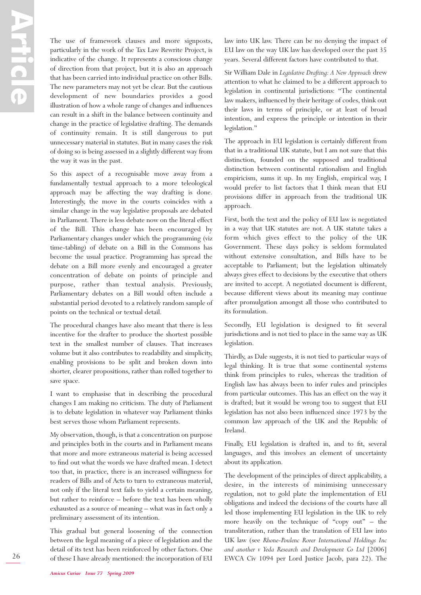The use of framework clauses and more signposts, particularly in the work of the Tax Law Rewrite Project, is indicative of the change. It represents a conscious change of direction from that project, but it is also an approach that has been carried into individual practice on other Bills. The new parameters may not yet be clear. But the cautious development of new boundaries provides a good illustration of how a whole range of changes and influences can result in a shift in the balance between continuity and change in the practice of legislative drafting. The demands of continuity remain. It is still dangerous to put unnecessary material in statutes. But in many cases the risk of doing so is being assessed in a slightly different way from the way it was in the past.

So this aspect of a recognisable move away from a fundamentally textual approach to a more teleological approach may be affecting the way drafting is done. Interestingly, the move in the courts coincides with a similar change in the way legislative proposals are debated in Parliament. There is less debate now on the literal effect of the Bill. This change has been encouraged by Parliamentary changes under which the programming (viz time-tabling) of debate on a Bill in the Commons has become the usual practice. Programming has spread the debate on a Bill more evenly and encouraged a greater concentration of debate on points of principle and purpose, rather than textual analysis. Previously, Parliamentary debates on a Bill would often include a substantial period devoted to a relatively random sample of points on the technical or textual detail.

The procedural changes have also meant that there is less incentive for the drafter to produce the shortest possible text in the smallest number of clauses. That increases volume but it also contributes to readability and simplicity, enabling provisions to be split and broken down into shorter, clearer propositions, rather than rolled together to save space.

I want to emphasise that in describing the procedural changes I am making no criticism. The duty of Parliament is to debate legislation in whatever way Parliament thinks best serves those whom Parliament represents.

My observation, though, is that a concentration on purpose and principles both in the courts and in Parliament means that more and more extraneous material is being accessed to find out what the words we have drafted mean. I detect too that, in practice, there is an increased willingness for readers of Bills and of Acts to turn to extraneous material, not only if the literal text fails to yield a certain meaning, but rather to reinforce – before the text has been wholly exhausted as a source of meaning – what was in fact only a preliminary assessment of its intention.

This gradual but general loosening of the connection between the legal meaning of a piece of legislation and the detail of its text has been reinforced by other factors. One of these I have already mentioned: the incorporation of EU law into UK law. There can be no denying the impact of EU law on the way UK law has developed over the past 35 years. Several different factors have contributed to that.

Sir William Dale in *Legislative Drafting: A New Approach* drew attention to what he claimed to be a different approach to legislation in continental jurisdictions: "The continental law makers, influenced by their heritage of codes, think out their laws in terms of principle, or at least of broad intention, and express the principle or intention in their legislation."

The approach in EU legislation is certainly different from that in a traditional UK statute, but I am not sure that this distinction, founded on the supposed and traditional distinction between continental rationalism and English empiricism, sums it up. In my English, empirical way, I would prefer to list factors that I think mean that EU provisions differ in approach from the traditional UK approach.

First, both the text and the policy of EU law is negotiated in a way that UK statutes are not. A UK statute takes a form which gives effect to the policy of the UK Government. These days policy is seldom formulated without extensive consultation, and Bills have to be acceptable to Parliament; but the legislation ultimately always gives effect to decisions by the executive that others are invited to accept. A negotiated document is different, because different views about its meaning may continue after promulgation amongst all those who contributed to its formulation.

Secondly, EU legislation is designed to fit several jurisdictions and is not tied to place in the same way as UK legislation.

Thirdly, as Dale suggests, it is not tied to particular ways of legal thinking. It is true that some continental systems think from principles to rules, whereas the tradition of English law has always been to infer rules and principles from particular outcomes. This has an effect on the way it is drafted; but it would be wrong too to suggest that EU legislation has not also been influenced since 1973 by the common law approach of the UK and the Republic of Ireland.

Finally, EU legislation is drafted in, and to fit, several languages, and this involves an element of uncertainty about its application.

The development of the principles of direct applicability, a desire, in the interests of minimising unnecessary regulation, not to gold plate the implementation of EU obligations and indeed the decisions of the courts have all led those implementing EU legislation in the UK to rely more heavily on the technique of "copy out" – the transliteration, rather than the translation of EU law into UK law (see *Rhone-Poulenc Rorer International Holdings Inc and another v Yeda Research and Development Co Ltd* [2006] EWCA Civ 1094 per Lord Justice Jacob, para 22). The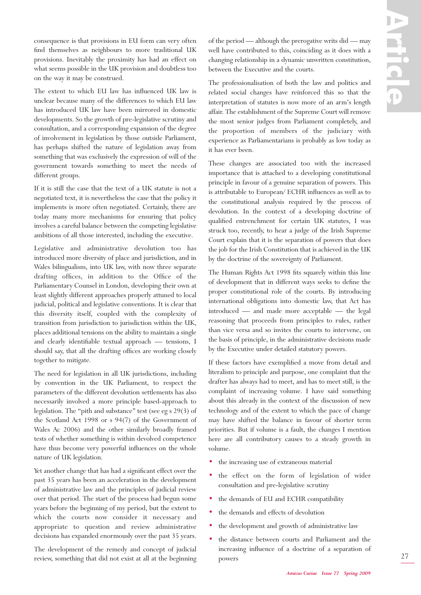consequence is that provisions in EU form can very often find themselves as neighbours to more traditional UK provisions. Inevitably the proximity has had an effect on what seems possible in the UK provision and doubtless too on the way it may be construed.

The extent to which EU law has influenced UK law is unclear because many of the differences to which EU law has introduced UK law have been mirrored in domestic developments. So the growth of pre-legislative scrutiny and consultation, and a corresponding expansion of the degree of involvement in legislation by those outside Parliament, has perhaps shifted the nature of legislation away from something that was exclusively the expression of will of the government towards something to meet the needs of different groups.

If it is still the case that the text of a UK statute is not a negotiated text, it is nevertheless the case that the policy it implements is more often negotiated. Certainly, there are today many more mechanisms for ensuring that policy involves a careful balance between the competing legislative ambitions of all those interested, including the executive.

Legislative and administrative devolution too has introduced more diversity of place and jurisdiction, and in Wales bilingualism, into UK law, with now three separate drafting offices, in addition to the Office of the Parliamentary Counsel in London, developing their own at least slightly different approaches properly attuned to local judicial, political and legislative conventions. It is clear that this diversity itself, coupled with the complexity of transition from jurisdiction to jurisdiction within the UK, places additional tensions on the ability to maintain a single and clearly identifiable textual approach — tensions, I should say, that all the drafting offices are working closely together to mitigate.

The need for legislation in all UK jurisdictions, including by convention in the UK Parliament, to respect the parameters of the different devolution settlements has also necessarily involved a more principle based-approach to legislation. The "pith and substance" test (see eg s 29(3) of the Scotland Act 1998 or s 94(7) of the Government of Wales Ac 2006) and the other similarly broadly framed tests of whether something is within devolved competence have thus become very powerful influences on the whole nature of UK legislation.

Yet another change that has had a significant effect over the past 35 years has been an acceleration in the development of administrative law and the principles of judicial review over that period. The start of the process had begun some years before the beginning of my period, but the extent to which the courts now consider it necessary and appropriate to question and review administrative decisions has expanded enormously over the past 35 years.

The development of the remedy and concept of judicial review, something that did not exist at all at the beginning of the period — although the prerogative writs did — may well have contributed to this, coinciding as it does with a changing relationship in a dynamic unwritten constitution, between the Executive and the courts.

The professionalisation of both the law and politics and related social changes have reinforced this so that the interpretation of statutes is now more of an arm's length affair. The establishment of the Supreme Court will remove the most senior judges from Parliament completely, and the proportion of members of the judiciary with experience as Parliamentarians is probably as low today as it has ever been.

These changes are associated too with the increased importance that is attached to a developing constitutional principle in favour of a genuine separation of powers. This is attributable to European/ ECHR influences as well as to the constitutional analysis required by the process of devolution. In the context of a developing doctrine of qualified entrenchment for certain UK statutes, I was struck too, recently, to hear a judge of the Irish Supreme Court explain that it is the separation of powers that does the job for the Irish Constitution that is achieved in the UK by the doctrine of the sovereignty of Parliament.

The Human Rights Act 1998 fits squarely within this line of development that in different ways seeks to define the proper constitutional role of the courts. By introducing international obligations into domestic law, that Act has introduced — and made more acceptable — the legal reasoning that proceeds from principles to rules, rather than vice versa and so invites the courts to intervene, on the basis of principle, in the administrative decisions made by the Executive under detailed statutory powers.

If these factors have exemplified a move from detail and literalism to principle and purpose, one complaint that the drafter has always had to meet, and has to meet still, is the complaint of increasing volume. I have said something about this already in the context of the discussion of new technology and of the extent to which the pace of change may have shifted the balance in favour of shorter term priorities. But if volume is a fault, the changes I mention here are all contributory causes to a steady growth in volume.

- the increasing use of extraneous material
- the effect on the form of legislation of wider consultation and pre-legislative scrutiny
- the demands of EU and ECHR compatibility
- the demands and effects of devolution
- the development and growth of administrative law
- the distance between courts and Parliament and the increasing influence of a doctrine of a separation of powers